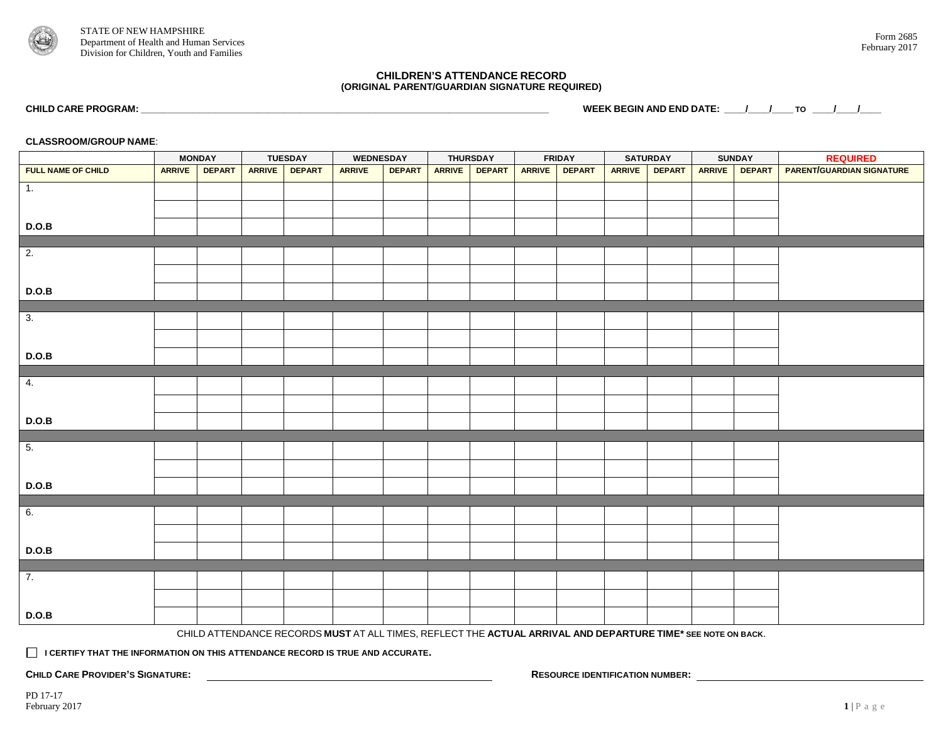

## **CHILDREN'S ATTENDANCE RECORD (ORIGINAL PARENT/GUARDIAN SIGNATURE REQUIRED)**

**CHILD CARE PROGRAM: \_\_\_\_\_\_\_\_\_\_\_\_\_\_\_\_\_\_\_\_\_\_\_\_\_\_\_\_\_\_\_\_\_\_\_\_\_\_\_\_\_\_\_\_\_\_\_\_\_\_\_\_\_\_\_\_\_\_\_\_\_\_\_\_\_\_\_\_\_\_\_\_\_\_\_\_\_ WEEK BEGIN AND END DATE: \_\_\_\_/\_\_\_\_/\_\_\_\_ TO \_\_\_\_/\_\_\_\_/\_\_\_\_**

**CLASSROOM/GROUP NAME**:

|                                           | <b>MONDAY</b> |               | <b>TUESDAY</b> |               | <b>WEDNESDAY</b>                                                                                             |               | <b>THURSDAY</b> |               | <b>FRIDAY</b> |               | <b>SATURDAY</b> |               | <b>SUNDAY</b> |               | <b>REQUIRED</b>                  |
|-------------------------------------------|---------------|---------------|----------------|---------------|--------------------------------------------------------------------------------------------------------------|---------------|-----------------|---------------|---------------|---------------|-----------------|---------------|---------------|---------------|----------------------------------|
| FULL NAME OF CHILD                        | <b>ARRIVE</b> | <b>DEPART</b> |                | ARRIVE DEPART | <b>ARRIVE</b>                                                                                                | <b>DEPART</b> | <b>ARRIVE</b>   | <b>DEPART</b> | ARRIVE        | <b>DEPART</b> | ARRIVE          | <b>DEPART</b> | ARRIVE        | <b>DEPART</b> | <b>PARENT/GUARDIAN SIGNATURE</b> |
| $\overline{1}$ .                          |               |               |                |               |                                                                                                              |               |                 |               |               |               |                 |               |               |               |                                  |
|                                           |               |               |                |               |                                                                                                              |               |                 |               |               |               |                 |               |               |               |                                  |
|                                           |               |               |                |               |                                                                                                              |               |                 |               |               |               |                 |               |               |               |                                  |
| D.O.B                                     |               |               |                |               |                                                                                                              |               |                 |               |               |               |                 |               |               |               |                                  |
| $\overline{2}$ .                          |               |               |                |               |                                                                                                              |               |                 |               |               |               |                 |               |               |               |                                  |
|                                           |               |               |                |               |                                                                                                              |               |                 |               |               |               |                 |               |               |               |                                  |
|                                           |               |               |                |               |                                                                                                              |               |                 |               |               |               |                 |               |               |               |                                  |
| D.O.B                                     |               |               |                |               |                                                                                                              |               |                 |               |               |               |                 |               |               |               |                                  |
| $\overline{\overline{\overline{3}}\cdot}$ |               |               |                |               |                                                                                                              |               |                 |               |               |               |                 |               |               |               |                                  |
|                                           |               |               |                |               |                                                                                                              |               |                 |               |               |               |                 |               |               |               |                                  |
|                                           |               |               |                |               |                                                                                                              |               |                 |               |               |               |                 |               |               |               |                                  |
| D.O.B                                     |               |               |                |               |                                                                                                              |               |                 |               |               |               |                 |               |               |               |                                  |
|                                           |               |               |                |               |                                                                                                              |               |                 |               |               |               |                 |               |               |               |                                  |
| $\overline{4}$ .                          |               |               |                |               |                                                                                                              |               |                 |               |               |               |                 |               |               |               |                                  |
|                                           |               |               |                |               |                                                                                                              |               |                 |               |               |               |                 |               |               |               |                                  |
| D.O.B                                     |               |               |                |               |                                                                                                              |               |                 |               |               |               |                 |               |               |               |                                  |
|                                           |               |               |                |               |                                                                                                              |               |                 |               |               |               |                 |               |               |               |                                  |
| $\overline{5}$ .                          |               |               |                |               |                                                                                                              |               |                 |               |               |               |                 |               |               |               |                                  |
|                                           |               |               |                |               |                                                                                                              |               |                 |               |               |               |                 |               |               |               |                                  |
|                                           |               |               |                |               |                                                                                                              |               |                 |               |               |               |                 |               |               |               |                                  |
| D.O.B                                     |               |               |                |               |                                                                                                              |               |                 |               |               |               |                 |               |               |               |                                  |
| $\overline{6}$ .                          |               |               |                |               |                                                                                                              |               |                 |               |               |               |                 |               |               |               |                                  |
|                                           |               |               |                |               |                                                                                                              |               |                 |               |               |               |                 |               |               |               |                                  |
|                                           |               |               |                |               |                                                                                                              |               |                 |               |               |               |                 |               |               |               |                                  |
| D.O.B                                     |               |               |                |               |                                                                                                              |               |                 |               |               |               |                 |               |               |               |                                  |
| $\overline{7}$ .                          |               |               |                |               |                                                                                                              |               |                 |               |               |               |                 |               |               |               |                                  |
|                                           |               |               |                |               |                                                                                                              |               |                 |               |               |               |                 |               |               |               |                                  |
|                                           |               |               |                |               |                                                                                                              |               |                 |               |               |               |                 |               |               |               |                                  |
| D.O.B                                     |               |               |                |               |                                                                                                              |               |                 |               |               |               |                 |               |               |               |                                  |
|                                           |               |               |                |               | CHILD ATTENDANCE RECORDS MUST AT ALL TIMES, REFLECT THE ACTUAL ARRIVAL AND DEPARTURE TIME* SEE NOTE ON BACK. |               |                 |               |               |               |                 |               |               |               |                                  |

 **I CERTIFY THAT THE INFORMATION ON THIS ATTENDANCE RECORD IS TRUE AND ACCURATE.** 

**CHILD CARE PROVIDER'S SIGNATURE: RESOURCE IDENTIFICATION NUMBER:**